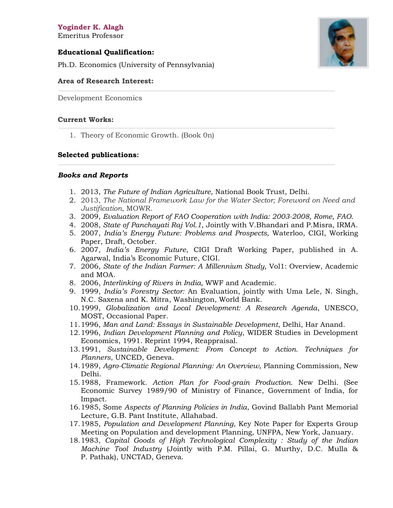**Yoginder K. Alagh** Emeritus Professor

## **Educational Qualification:**



Ph.D. Economics (University of Pennsylvania)

## **Area of Research Interest:**

Development Economics

#### **Current Works:**

1. Theory of Economic Growth. (Book 0n)

#### **Selected publications:**

#### *Books and Reports*

- 1. 2013, *The Future of Indian Agriculture,* National Book Trust, Delhi.
- 2. 2013, *The National Framework Law for the Water Sector; Foreword on Need and Justification,* MOWR.
- 3. 2009, *Evaluation Report of FAO Cooperation with India: 2003-2008, Rome, FAO.*
- 4. 2008, *State of Panchayati Raj Vol.1*, Jointly with V.Bhandari and P.Misra, IRMA.
- 5. 2007, *India's Energy Future: Problems and Prospects,* Waterloo, CIGI, Working Paper, Draft, October.
- 6. 2007, *India's Energy Future*, CIGI Draft Working Paper, published in A. Agarwal, India's Economic Future, CIGI.
- 7. 2006, *State of the Indian Farmer: A Millennium Study,* Vol1: Overview, Academic and MOA.
- 8. 2006, *Interlinking of Rivers in India,* WWF and Academic.
- 9. 1999, *India's Forestry Sector:* An Evaluation, jointly with Uma Lele, N. Singh, N.C. Saxena and K. Mitra, Washington, World Bank.
- 10.1999, *Globalization and Local Development: A Research Agenda*, UNESCO, MOST, Occasional Paper.
- 11.1996, *Man and Land: Essays in Sustainable Development*, Delhi, Har Anand.
- 12.1996, *Indian Development Planning and Policy*, WIDER Studies in Development Economics, 1991. Reprint 1994, Reappraisal.
- 13.1991, *Sustainable Development: From Concept to Action. Techniques for Planners*, UNCED, Geneva.
- 14.1989, *Agro-Climatic Regional Planning: An Overview*, Planning Commission, New Delhi.
- 15.1988, Framework*. Action Plan for Food-grain Production*. New Delhi. (See Economic Survey 1989/90 of Ministry of Finance, Government of India, for Impact.
- 16.1985, Some *Aspects of Planning Policies in India*, Govind Ballabh Pant Memorial Lecture, G.B. Pant Institute, Allahabad.
- 17.1985, *Population and Development Planning*, Key Note Paper for Experts Group Meeting on Population and development Planning, UNFPA, New York, January.
- 18.1983, *Capital Goods of High Technological Complexity : Study of the Indian Machine Tool Industry* (Jointly with P.M. Pillai, G. Murthy, D.C. Mulla & P. Pathak), UNCTAD, Geneva.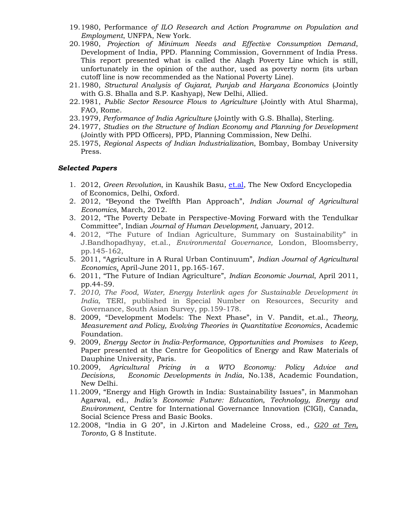- 19.1980, Performance *of ILO Research and Action Programme on Population and Employment*, UNFPA, New York.
- 20.1980, *Projection of Minimum Needs and Effective Consumption Demand*, Development of India, PPD. Planning Commission, Government of India Press. This report presented what is called the Alagh Poverty Line which is still, unfortunately in the opinion of the author, used as poverty norm (its urban cutoff line is now recommended as the National Poverty Line).
- 21.1980, *Structural Analysis of Gujarat, Punjab and Haryana Economics* (Jointly with G.S. Bhalla and S.P. Kashyap), New Delhi, Allied.
- 22.1981, *Public Sector Resource Flows to Agriculture* (Jointly with Atul Sharma), FAO, Rome.
- 23.1979, *Performance of India Agriculture* (Jointly with G.S. Bhalla), Sterling.
- 24.1977, *Studies on the Structure of Indian Economy and Planning for Development* (Jointly with PPD Officers), PPD, Planning Commission, New Delhi.
- 25.1975, *Regional Aspects of Indian Industrialization*, Bombay, Bombay University Press.

# *Selected Papers*

- 1. 2012, *Green Revolution*, in Kaushik Basu, [et.al,](http://et.al/) The New Oxford Encyclopedia of Economics, Delhi, Oxford.
- 2. 2012, "Beyond the Twelfth Plan Approach", *Indian Journal of Agricultural Economics*, March, 2012.
- 3. 2012, "The Poverty Debate in Perspective-Moving Forward with the Tendulkar Committee", Indian *Journal of Human Development,* January, 2012.
- 4. 2012, "The Future of Indian Agriculture, Summary on Sustainability" in J.Bandhopadhyay, et.al., *Environmental Governance,* London, Bloomsberry, pp.145-162,
- 5. 2011, "Agriculture in A Rural Urban Continuum", *Indian Journal of Agricultural Economics*, April-June 2011, pp.165-167.
- 6. 2011, "The Future of Indian Agriculture", *Indian Economic Journal*, April 2011, pp.44-59.
- 7. *2010, The Food, Water, Energy Interlink ages for Sustainable Development in India,* TERI, published in Special Number on Resources, Security and Governance, South Asian Survey, pp.159-178.
- 8. 2009, "Development Models: The Next Phase", in V. Pandit, et.al., *Theory, Measurement and Policy, Evolving Theories in Quantitative Economics*, Academic Foundation.
- 9. 2009, *Energy Sector in India-Performance, Opportunities and Promises to Keep*, Paper presented at the Centre for Geopolitics of Energy and Raw Materials of Dauphine University, Paris.
- 10.2009, *Agricultural Pricing in a WTO Economy: Policy Advice and Decisions, Economic Developments in India*, No.138, Academic Foundation, New Delhi.
- 11.2009, "Energy and High Growth in India: Sustainability Issues", in Manmohan Agarwal, ed., *India's Economic Future: Education, Technology, Energy and Environment*, Centre for International Governance Innovation (CIGI), Canada, Social Science Press and Basic Books.
- 12.2008, "India in G 20", in J.Kirton and Madeleine Cross, ed*., G20 at Ten, Toronto,* G 8 Institute.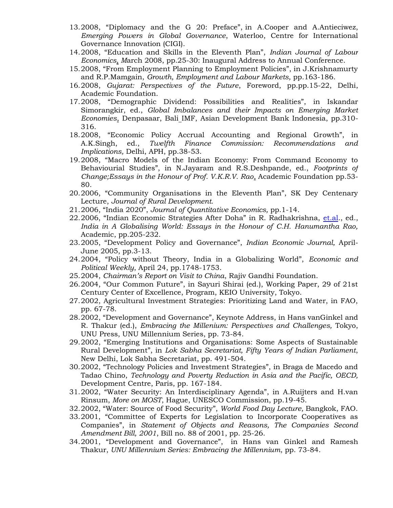- 13.2008, "Diplomacy and the G 20: Preface", in A.Cooper and A.Antieciwez, *Emerging Powers in Global Governance*, Waterloo, Centre for International Governance Innovation (CIGI).
- 14.2008, "Education and Skills in the Eleventh Plan", *Indian Journal of Labour Economics, M*arch 2008, pp.25-30: Inaugural Address to Annual Conference.
- 15.2008, "From Employment Planning to Employment Policies", in J.Krishnamurty and R.P.Mamgain, *Growth, Employment and Labour Markets,* pp.163-186.
- 16.2008, *Gujarat: Perspectives of the Future*, Foreword, pp.pp.15-22, Delhi, Academic Foundation.
- 17.2008, "Demographic Dividend: Possibilities and Realities", in Iskandar Simorangkir, ed., *Global Imbalances and their Impacts on Emerging Market Economies*, Denpasaar, Bali IMF, Asian Development Bank Indonesia, pp.310- 316.
- 18.2008, "Economic Policy Accrual Accounting and Regional Growth", in A.K.Singh, ed., *Twelfth Finance Commission: Recommendations and Implications,* Delhi, APH, pp.38-53.
- 19.2008, "Macro Models of the Indian Economy: From Command Economy to Behaviourial Studies", in N.Jayaram and R.S.Deshpande, ed., *Footprints of Change;Essays in the Honour of Prof. V.K.R.V. Rao*, Academic Foundation pp.53- 80.
- 20.2006, "Community Organisations in the Eleventh Plan", SK Dey Centenary Lecture, *Journal of Rural Development.*
- 21.2006, "India 2020", *Journal of Quantitative Economics,* pp.1-14.
- 22.2006, "Indian Economic Strategies After Doha" in R. Radhakrishna, [et.al.](http://et.al/), ed., *India in A Globalising World: Essays in the Honour of C.H. Hanumantha Rao,*  Academic, pp.205-232.
- 23.2005, "Development Policy and Governance", *Indian Economic Journal,* April-June 2005, pp.3-13.
- 24.2004, "Policy without Theory, India in a Globalizing World", *Economic and Political Weekly*, April 24, pp.1748-1753.
- 25.2004, *Chairman's Report on Visit to China*, Rajiv Gandhi Foundation.
- 26.2004, "Our Common Future", in Sayuri Shirai (ed.), Working Paper, 29 of 21st Century Center of Excellence, Program, KEIO University, Tokyo.
- 27.2002, Agricultural Investment Strategies: Prioritizing Land and Water, in FAO, pp. 67-78.
- 28.2002, "Development and Governance", Keynote Address, in Hans vanGinkel and R. Thakur (ed.), *Embracing the Millenium: Perspectives and Challenges,* Tokyo, UNU Press, UNU Millennium Series, pp. 73-84.
- 29.2002, "Emerging Institutions and Organisations: Some Aspects of Sustainable Rural Development", in *Lok Sabha Secretariat, Fifty Years of Indian Parliament*, New Delhi, Lok Sabha Secretariat, pp. 491-504.
- 30.2002, "Technology Policies and Investment Strategies", in Braga de Macedo and Tadao Chino, *Technology and Poverty Reduction in Asia and the Pacific, OECD,*  Development Centre, Paris, pp. 167-184.
- 31.2002, "Water Security: An Interdisciplinary Agenda", in A.Ruijters and H.van Rinsum, *More on MOST*, Hague, UNESCO Commission, pp.19-45.
- 32.2002, "Water: Source of Food Security", *World Food Day Lecture,* Bangkok, FAO.
- 33.2001, "Committee of Experts for Legislation to Incorporate Cooperatives as Companies", in *Statement of Objects and Reasons, The Companies Second Amendment Bill, 2001*, Bill no. 88 of 2001, pp. 25-26.
- 34.2001, "Development and Governance", in Hans van Ginkel and Ramesh Thakur, *UNU Millennium Series: Embracing the Millennium*, pp. 73-84.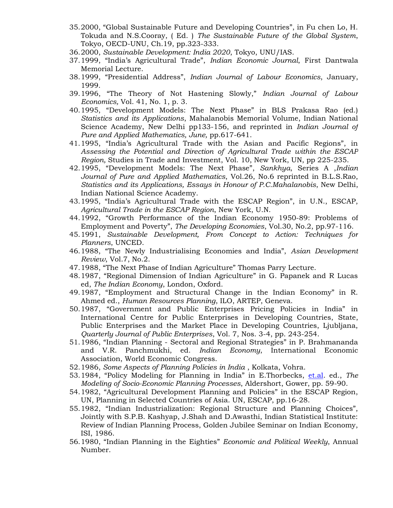- 35.2000, "Global Sustainable Future and Developing Countries", in Fu chen Lo, H. Tokuda and N.S.Cooray, ( Ed. ) *The Sustainable Future of the Global System*, Tokyo, OECD-UNU, Ch.19, pp.323-333.
- 36.2000, *Sustainable Development: India 2020*, Tokyo, UNU/IAS.
- 37.1999, "India's Agricultural Trade", *Indian Economic Journal*, First Dantwala Memorial Lecture.
- 38.1999, "Presidential Address", *Indian Journal of Labour Economics*, January, 1999.
- 39.1996, "The Theory of Not Hastening Slowly," *Indian Journal of Labour Economics,* Vol. 41, No. 1, p. 3*.*
- 40.1995, "Development Models: The Next Phase" in BLS Prakasa Rao (ed.) *Statistics and its Applications*, Mahalanobis Memorial Volume, Indian National Science Academy, New Delhi pp133-156, and reprinted in *Indian Journal of Pure and Applied Mathematics, June,* pp.617-641.
- 41.1995, "India's Agricultural Trade with the Asian and Pacific Regions", in *Assessing the Potential and Direction of Agricultural Trade within the ESCAP Region,* Studies in Trade and Investment, Vol. 10, New York, UN, pp 225-235.
- 42.1995, "Development Models: The Next Phase", *Sankhya*, Series A ,*Indian Journal of Pure and Applied Mathematics*, Vol.26, No.6 reprinted in B.L.S.Rao, *Statistics and its Applications, Essays in Honour of P.C.Mahalanobis*, New Delhi, Indian National Science Academy.
- 43.1995, "India's Agricultural Trade with the ESCAP Region", in U.N., ESCAP, *Agricultural Trade in the ESCAP Region*, New York, U.N.
- 44.1992, "Growth Performance of the Indian Economy 1950-89: Problems of Employment and Poverty", *The Developing Economies*, Vol.30, No.2, pp.97-116.
- 45.1991, *Sustainable Development, From Concept to Action: Techniques for Planners*, UNCED.
- 46.1988, "The Newly Industrialising Economies and India", *Asian Development Review*, Vol.7, No.2.
- 47.1988, "The Next Phase of Indian Agriculture" Thomas Parry Lecture.
- 48.1987, "Regional Dimension of Indian Agriculture" in G. Papanek and R Lucas ed, *The Indian Economy*, London, Oxford.
- 49.1987, "Employment and Structural Change in the Indian Economy" in R. Ahmed ed., *Human Resources Planning*, ILO, ARTEP, Geneva.
- 50.1987, "Government and Public Enterprises Pricing Policies in India" in International Centre for Public Enterprises in Developing Countries, State, Public Enterprises and the Market Place in Developing Countries, Ljubljana, *Quarterly Journal of Public Enterprises*, Vol. 7, Nos. 3-4, pp. 243-254.
- 51.1986, "Indian Planning Sectoral and Regional Strategies" in P. Brahmananda and V.R. Panchmukhi, ed. *Indian Economy*, International Economic Association, World Economic Congress.
- 52.1986, *Some Aspects of Planning Policies in India* , Kolkata, Vohra.
- 53.1984, "Policy Modeling for Planning in India" in E.Thorbecks, [et.al.](http://et.al/) ed., *The Modeling of Socio-Economic Planning Processes*, Aldershort, Gower, pp. 59-90.
- 54.1982, "Agricultural Development Planning and Policies" in the ESCAP Region, UN, Planning in Selected Countries of Asia. UN, ESCAP, pp.16-28.
- 55.1982, "Indian Industrialization: Regional Structure and Planning Choices", Jointly with S.P.B. Kashyap, J.Shah and D.Awasthi, Indian Statistical Institute: Review of Indian Planning Process, Golden Jubilee Seminar on Indian Economy, ISI, 1986.
- 56.1980, "Indian Planning in the Eighties" *Economic and Political Weekly*, Annual Number.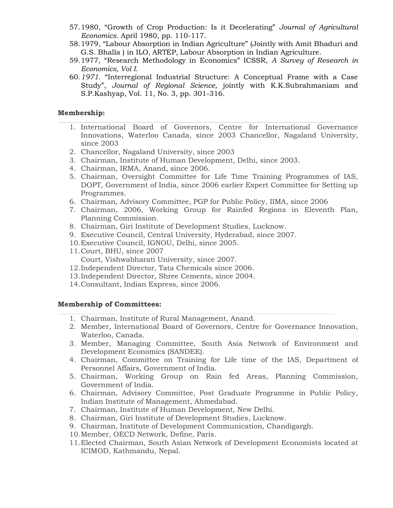- 57.1980, "Growth of Crop Production: Is it Decelerating" *Journal of Agricultural Economics.* April 1980, pp. 110-117.
- 58.1979, "Labour Absorption in Indian Agriculture" (Jointly with Amit Bhaduri and G.S. Bhalla ) in ILO, ARTEP, Labour Absorption in Indian Agriculture.
- 59.1977, "Research Methodology in Economics" ICSSR, *A Survey of Research in Economics, Vol I*.
- 60.*1971.* "Interregional Industrial Structure: A Conceptual Frame with a Case Study", *Journal of Regional Science,* jointly with K.K.Subrahmaniam and S.P.Kashyap, Vol. 11, No. 3, pp. 301-316.

### **Membership:**

- 1. International Board of Governors, Centre for International Governance Innovations, Waterloo Canada, since 2003 Chancellor, Nagaland University, since 2003
- 2. Chancellor, Nagaland University, since 2003
- 3. Chairman, Institute of Human Development, Delhi, since 2003.
- 4. Chairman, IRMA, Anand, since 2006.
- 5. Chairman, Oversight Committee for Life Time Training Programmes of IAS, DOPT, Government of India, since 2006 earlier Expert Committee for Setting up Programmes.
- 6. Chairman, Advisory Committee, PGP for Public Policy, IIMA, since 2006
- 7. Chairman, 2006, Working Group for Rainfed Regions in Eleventh Plan, Planning Commission.
- 8. Chairman, Giri Institute of Development Studies, Lucknow.
- 9. Executive Council, Central University, Hyderabad, since 2007.
- 10.Executive Council, IGNOU, Delhi, since 2005.
- 11.Court, BHU, since 2007
	- Court, Vishwabharati University, since 2007.
- 12.Independent Director, Tata Chemicals since 2006.
- 13.Independent Director, Shree Cements, since 2004.
- 14.Consultant, Indian Express, since 2006.

#### **Membership of Committees:**

- 1. Chairman, Institute of Rural Management, Anand.
- 2. Member, International Board of Governors, Centre for Governance Innovation, Waterloo, Canada.
- 3. Member, Managing Committee, South Asia Network of Environment and Development Economics (SANDEE).
- 4. Chairman, Committee on Training for Life time of the IAS, Department of Personnel Affairs, Government of India.
- 5. Chairman, Working Group on Rain fed Areas, Planning Commission, Government of India.
- 6. Chairman, Advisory Committee, Post Graduate Programme in Public Policy, Indian Institute of Management, Ahmedabad.
- 7. Chairman, Institute of Human Development, New Delhi.
- 8. Chairman, Giri Institute of Development Studies, Lucknow.
- 9. Chairman, Institute of Development Communication, Chandigargh.
- 10.Member, OECD Network, Define, Paris.
- 11.Elected Chairman, South Asian Network of Development Economists located at ICIMOD, Kathmandu, Nepal.